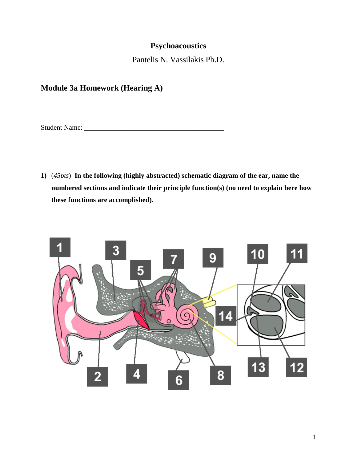## **Psychoacoustics**

Pantelis N. Vassilakis Ph.D.

# **Module 3a Homework (Hearing A)**

Student Name: \_\_\_\_\_\_\_\_\_\_\_\_\_\_\_\_\_\_\_\_\_\_\_\_\_\_\_\_\_\_\_\_\_\_\_\_\_\_\_\_

**1)** (*45pts*) **In the following (highly abstracted) schematic diagram of the ear, name the numbered sections and indicate their principle function(s) (no need to explain here how these functions are accomplished).**

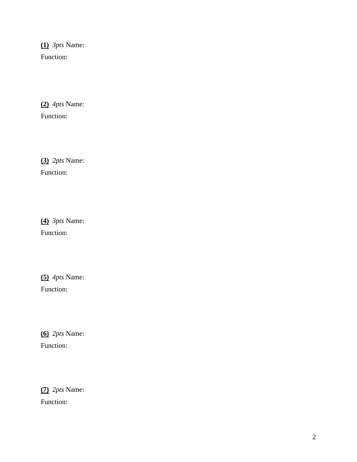**(1)** *3pts* Name: Function:

**(2)** *4pts* Name: Function:

**(3)** *2pts* Name: Function:

**(4)** *3pts* Name: Function:

**(5)** *4pts* Name: Function:

**(6)** *2pts* Name: Function:

**(7)** *2pts* Name: Function: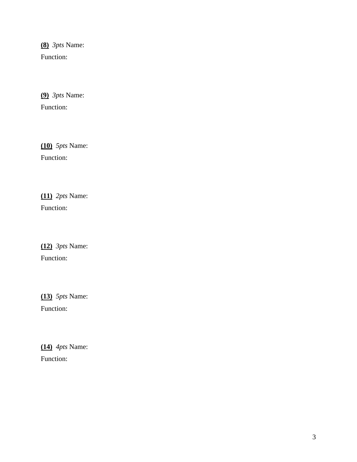**( 8 )** *3pts* Name: Function:

**(9)** *3pts* Name: Function:

**(10)** *5pts* Name: Function:

**(11)** *2pts* Name: Function:

**(12)** *3pts* Name: Function:

**(13)** *5pts* Name: Function:

**(14)** *4pts* Name: Function: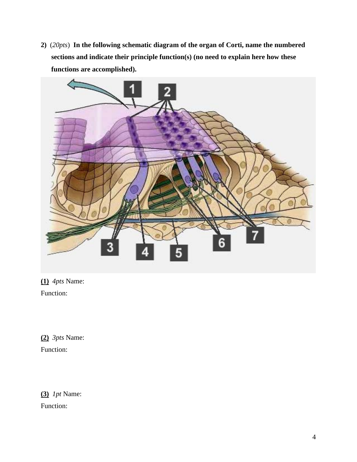**2)** (*20pts*) **In the following schematic diagram of the organ of Corti, name the numbered sections and indicate their principle function(s) (no need to explain here how these functions are accomplished).**



**(1)** *4pts* Name: Function:

**(2)** *3pts* Name: Function:

**(3)** *1pt* Name: Function: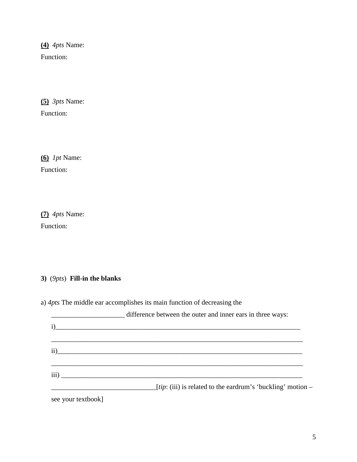**(4)** *4pts* Name: Function:

**(5)** *3pts* Name: Function:

**(6)** *1pt* Name: Function:

**(7)** *4pts* Name: Function:

### **3)** (*9pts*) **Fill-in the blanks**

a) *4pts* The middle ear accomplishes its main function of decreasing the

|                    | difference between the outer and inner ears in three ways:           |
|--------------------|----------------------------------------------------------------------|
| i)                 | <u> 1989 - Jan Barnett, fransk politiker (d. 1989)</u>               |
|                    |                                                                      |
|                    | ii)                                                                  |
|                    |                                                                      |
|                    | $\overline{\text{iii}}$ )                                            |
|                    | <i>[tip:</i> (iii) is related to the eardrum's 'buckling' motion $-$ |
| see your textbook] |                                                                      |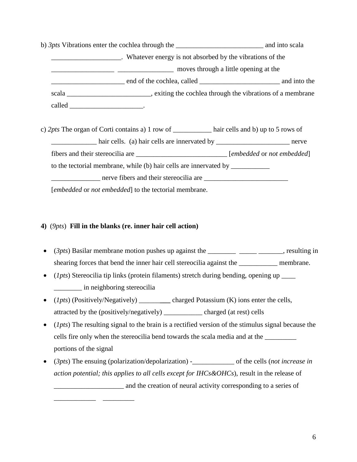b) *3pts* Vibrations enter the cochlea through the \_\_\_\_\_\_\_\_\_\_\_\_\_\_\_\_\_\_\_\_\_\_\_\_\_ and into scala \_\_\_\_\_\_\_\_\_\_\_\_\_\_\_\_\_\_\_\_. Whatever energy is not absorbed by the vibrations of the \_\_\_\_\_\_\_\_\_\_\_\_\_\_\_\_\_\_ \_\_\_\_\_\_\_\_\_\_\_\_\_\_\_\_ moves through a little opening at the \_\_\_\_\_\_\_\_\_\_\_\_\_\_\_\_\_\_\_\_\_ end of the cochlea, called \_\_\_\_\_\_\_\_\_\_\_\_\_\_\_\_\_\_\_\_\_\_\_ and into the scala \_\_\_\_\_\_\_\_\_\_\_\_\_\_\_\_\_\_\_\_\_\_\_\_\_, exiting the cochlea through the vibrations of a membrane called \_\_\_\_\_\_\_\_\_\_\_\_\_\_\_\_\_\_\_\_\_\_\_\_\_\_\_.

c) 2*pts* The organ of Corti contains a) 1 row of hair cells and b) up to 5 rows of hair cells. (a) hair cells are innervated by \_\_\_\_\_\_\_\_\_\_\_\_\_\_\_\_\_\_\_\_\_\_\_\_\_ nerve fibers and their stereocilia are \_\_\_\_\_\_\_\_\_\_\_\_\_\_\_\_\_\_\_\_\_\_\_\_\_\_ [*embedded* or *not embedded*] to the tectorial membrane, while (b) hair cells are innervated by \_\_\_\_\_\_\_\_\_\_\_\_\_\_\_ nerve fibers and their stereocilia are  $\Box$ [*embedded* or *not embedded*] to the tectorial membrane.

### **4)** (*9pts*) **Fill in the blanks (re. inner hair cell action)**

\_\_\_\_\_\_\_\_\_\_\_\_ \_\_\_\_\_\_\_\_\_

- (*3pts*) Basilar membrane motion pushes up against the \_\_\_\_\_\_\_\_ \_\_\_\_\_ \_\_\_\_\_\_\_, resulting in shearing forces that bend the inner hair cell stereocilia against the \_\_\_\_\_\_\_\_\_\_\_ membrane.
- (*1pts*) Stereocilia tip links (protein filaments) stretch during bending, opening up \_\_\_\_ \_\_\_\_\_\_\_\_ in neighboring stereocilia
- (*1pts*) (Positively/Negatively) \_\_\_\_\_\_**\_\_\_** charged Potassium (K) ions enter the cells, attracted by the (positively/negatively) \_\_\_\_\_\_\_\_\_\_\_ charged (at rest) cells
- (*1pts*) The resulting signal to the brain is a rectified version of the stimulus signal because the cells fire only when the stereocilia bend towards the scala media and at the  $\frac{1}{\sqrt{1-\frac{1}{\sqrt{1-\frac{1}{\sqrt{1-\frac{1}{\sqrt{1-\frac{1}{\sqrt{1-\frac{1}{\sqrt{1-\frac{1}{\sqrt{1-\frac{1}{\sqrt{1-\frac{1}{\sqrt{1-\frac{1}{\sqrt{1-\frac{1}{\sqrt{1-\frac{1}{\sqrt{1-\frac{1}{\sqrt{1-\frac{1}{\sqrt{1-\frac{1}{\sqrt{1-\frac{1}{\sqrt{1$ portions of the signal
- (*3pts*) The ensuing (polarization/depolarization) of the cells (*not increase in action potential; this applies to all cells except for IHCs&OHCs*), result in the release of \_\_\_\_\_\_\_\_\_\_\_\_\_\_\_\_\_\_\_\_ and the creation of neural activity corresponding to a series of